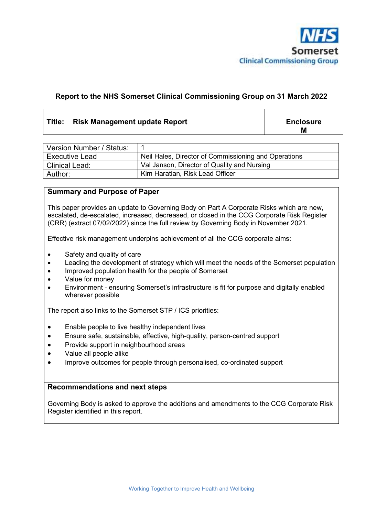

#### **Report to the NHS Somerset Clinical Commissioning Group on 31 March 2022**

#### Title: Risk Management update Report **Enclosure Enclosure**

**M**

| Version Number / Status: |                                                      |
|--------------------------|------------------------------------------------------|
| <b>Executive Lead</b>    | Neil Hales, Director of Commissioning and Operations |
| <b>Clinical Lead:</b>    | Val Janson, Director of Quality and Nursing          |
| Author:                  | Kim Haratian, Risk Lead Officer                      |

#### **Summary and Purpose of Paper**

This paper provides an update to Governing Body on Part A Corporate Risks which are new, escalated, de-escalated, increased, decreased, or closed in the CCG Corporate Risk Register (CRR) (extract 07/02/2022) since the full review by Governing Body in November 2021.

Effective risk management underpins achievement of all the CCG corporate aims:

- Safety and quality of care
- Leading the development of strategy which will meet the needs of the Somerset population
- Improved population health for the people of Somerset
- Value for money
- Environment ensuring Somerset's infrastructure is fit for purpose and digitally enabled wherever possible

The report also links to the Somerset STP / ICS priorities:

- Enable people to live healthy independent lives
- Ensure safe, sustainable, effective, high-quality, person-centred support
- Provide support in neighbourhood areas
- Value all people alike
- Improve outcomes for people through personalised, co-ordinated support

#### **Recommendations and next steps**

Governing Body is asked to approve the additions and amendments to the CCG Corporate Risk Register identified in this report.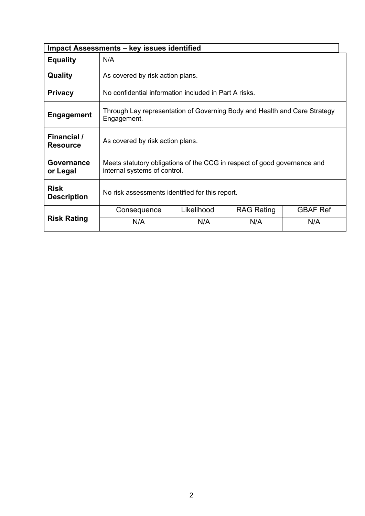|                                   | <b>Impact Assessments - key issues identified</b>                                                        |                                                       |                   |                 |  |  |  |  |  |  |  |  |
|-----------------------------------|----------------------------------------------------------------------------------------------------------|-------------------------------------------------------|-------------------|-----------------|--|--|--|--|--|--|--|--|
| <b>Equality</b>                   | N/A                                                                                                      |                                                       |                   |                 |  |  |  |  |  |  |  |  |
| Quality                           | As covered by risk action plans.                                                                         |                                                       |                   |                 |  |  |  |  |  |  |  |  |
| <b>Privacy</b>                    |                                                                                                          | No confidential information included in Part A risks. |                   |                 |  |  |  |  |  |  |  |  |
| <b>Engagement</b>                 | Through Lay representation of Governing Body and Health and Care Strategy<br>Engagement.                 |                                                       |                   |                 |  |  |  |  |  |  |  |  |
| Financial /<br><b>Resource</b>    | As covered by risk action plans.                                                                         |                                                       |                   |                 |  |  |  |  |  |  |  |  |
| <b>Governance</b><br>or Legal     | Meets statutory obligations of the CCG in respect of good governance and<br>internal systems of control. |                                                       |                   |                 |  |  |  |  |  |  |  |  |
| <b>Risk</b><br><b>Description</b> | No risk assessments identified for this report.                                                          |                                                       |                   |                 |  |  |  |  |  |  |  |  |
|                                   | Consequence                                                                                              | Likelihood                                            | <b>RAG Rating</b> | <b>GBAF Ref</b> |  |  |  |  |  |  |  |  |
| <b>Risk Rating</b>                | N/A                                                                                                      | N/A                                                   | N/A               | N/A             |  |  |  |  |  |  |  |  |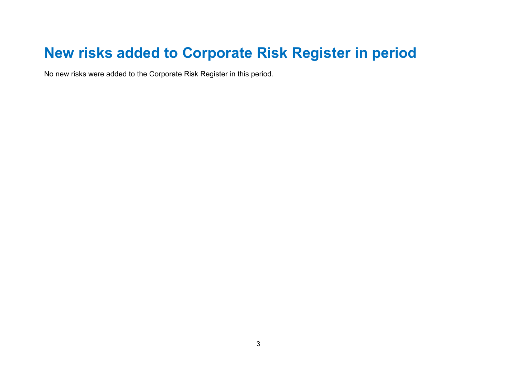# **New risks added to Corporate Risk Register in period**

No new risks were added to the Corporate Risk Register in this period.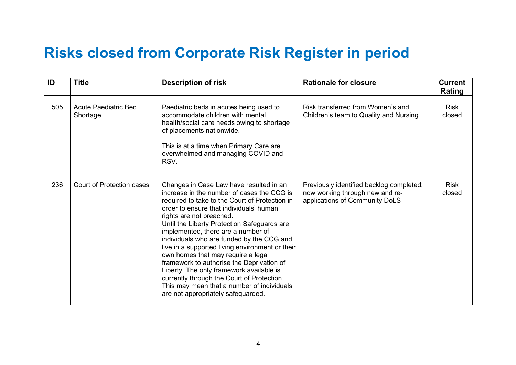## **Risks closed from Corporate Risk Register in period**

| ID  | <b>Title</b>                            | <b>Description of risk</b>                                                                                                                                                                                                                                                                                                                                                                                                                                                                                                                                                                                                                                           | <b>Rationale for closure</b>                                                                                  | <b>Current</b><br>Rating |
|-----|-----------------------------------------|----------------------------------------------------------------------------------------------------------------------------------------------------------------------------------------------------------------------------------------------------------------------------------------------------------------------------------------------------------------------------------------------------------------------------------------------------------------------------------------------------------------------------------------------------------------------------------------------------------------------------------------------------------------------|---------------------------------------------------------------------------------------------------------------|--------------------------|
| 505 | <b>Acute Paediatric Bed</b><br>Shortage | Paediatric beds in acutes being used to<br>accommodate children with mental<br>health/social care needs owing to shortage<br>of placements nationwide.<br>This is at a time when Primary Care are<br>overwhelmed and managing COVID and<br>RSV.                                                                                                                                                                                                                                                                                                                                                                                                                      | Risk transferred from Women's and<br>Children's team to Quality and Nursing                                   | <b>Risk</b><br>closed    |
| 236 | <b>Court of Protection cases</b>        | Changes in Case Law have resulted in an<br>increase in the number of cases the CCG is<br>required to take to the Court of Protection in<br>order to ensure that individuals' human<br>rights are not breached.<br>Until the Liberty Protection Safeguards are<br>implemented, there are a number of<br>individuals who are funded by the CCG and<br>live in a supported living environment or their<br>own homes that may require a legal<br>framework to authorise the Deprivation of<br>Liberty. The only framework available is<br>currently through the Court of Protection.<br>This may mean that a number of individuals<br>are not appropriately safeguarded. | Previously identified backlog completed;<br>now working through new and re-<br>applications of Community DoLS | <b>Risk</b><br>closed    |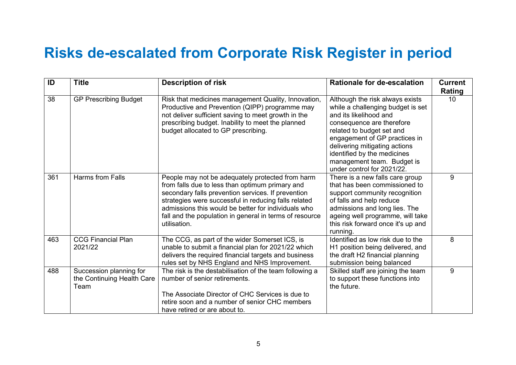## **Risks de-escalated from Corporate Risk Register in period**

| ID  | <b>Title</b>                                                  | <b>Description of risk</b>                                                                                                                                                                                                                                                                                                                          | <b>Rationale for de-escalation</b>                                                                                                                                                                                                                                                                                    | <b>Current</b><br>Rating |
|-----|---------------------------------------------------------------|-----------------------------------------------------------------------------------------------------------------------------------------------------------------------------------------------------------------------------------------------------------------------------------------------------------------------------------------------------|-----------------------------------------------------------------------------------------------------------------------------------------------------------------------------------------------------------------------------------------------------------------------------------------------------------------------|--------------------------|
| 38  | <b>GP Prescribing Budget</b>                                  | Risk that medicines management Quality, Innovation,<br>Productive and Prevention (QIPP) programme may<br>not deliver sufficient saving to meet growth in the<br>prescribing budget. Inability to meet the planned<br>budget allocated to GP prescribing.                                                                                            | Although the risk always exists<br>while a challenging budget is set<br>and its likelihood and<br>consequence are therefore<br>related to budget set and<br>engagement of GP practices in<br>delivering mitigating actions<br>identified by the medicines<br>management team. Budget is<br>under control for 2021/22. | 10 <sup>°</sup>          |
| 361 | <b>Harms from Falls</b>                                       | People may not be adequately protected from harm<br>from falls due to less than optimum primary and<br>secondary falls prevention services. If prevention<br>strategies were successful in reducing falls related<br>admissions this would be better for individuals who<br>fall and the population in general in terms of resource<br>utilisation. | There is a new falls care group<br>that has been commissioned to<br>support community recognition<br>of falls and help reduce<br>admissions and long lies. The<br>ageing well programme, will take<br>this risk forward once it's up and<br>running.                                                                  | 9                        |
| 463 | <b>CCG Financial Plan</b><br>2021/22                          | The CCG, as part of the wider Somerset ICS, is<br>unable to submit a financial plan for 2021/22 which<br>delivers the required financial targets and business<br>rules set by NHS England and NHS Improvement.                                                                                                                                      | Identified as low risk due to the<br>H1 position being delivered, and<br>the draft H2 financial planning<br>submission being balanced                                                                                                                                                                                 | 8                        |
| 488 | Succession planning for<br>the Continuing Health Care<br>Team | The risk is the destabilisation of the team following a<br>number of senior retirements.<br>The Associate Director of CHC Services is due to<br>retire soon and a number of senior CHC members<br>have retired or are about to.                                                                                                                     | Skilled staff are joining the team<br>to support these functions into<br>the future.                                                                                                                                                                                                                                  | 9                        |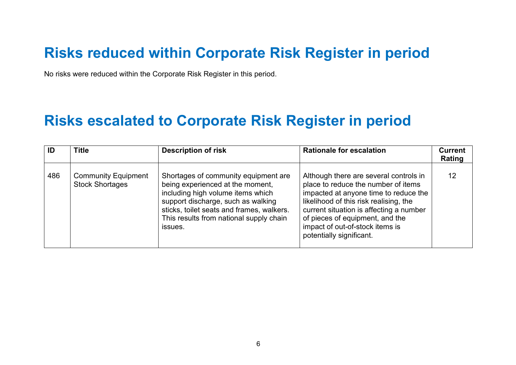## **Risks reduced within Corporate Risk Register in period**

No risks were reduced within the Corporate Risk Register in this period.

### **Risks escalated to Corporate Risk Register in period**

| ID  | <b>Title</b>                                         | <b>Description of risk</b>                                                                                                                                                                                                                             | <b>Rationale for escalation</b>                                                                                                                                                                                                                                                                               | <b>Current</b><br>Rating |
|-----|------------------------------------------------------|--------------------------------------------------------------------------------------------------------------------------------------------------------------------------------------------------------------------------------------------------------|---------------------------------------------------------------------------------------------------------------------------------------------------------------------------------------------------------------------------------------------------------------------------------------------------------------|--------------------------|
| 486 | <b>Community Equipment</b><br><b>Stock Shortages</b> | Shortages of community equipment are<br>being experienced at the moment,<br>including high volume items which<br>support discharge, such as walking<br>sticks, toilet seats and frames, walkers.<br>This results from national supply chain<br>issues. | Although there are several controls in<br>place to reduce the number of items<br>impacted at anyone time to reduce the<br>likelihood of this risk realising, the<br>current situation is affecting a number<br>of pieces of equipment, and the<br>impact of out-of-stock items is<br>potentially significant. | 12                       |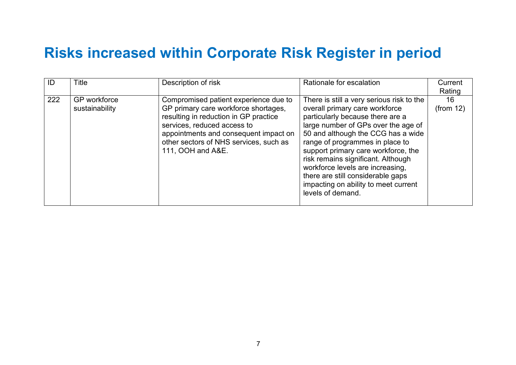## **Risks increased within Corporate Risk Register in period**

| ID  | <b>Title</b>                   | Description of risk                                                                                                                                                                                                                                           | Rationale for escalation                                                                                                                                                                                                                                                                                                                                                                                                                           | Current<br>Rating |
|-----|--------------------------------|---------------------------------------------------------------------------------------------------------------------------------------------------------------------------------------------------------------------------------------------------------------|----------------------------------------------------------------------------------------------------------------------------------------------------------------------------------------------------------------------------------------------------------------------------------------------------------------------------------------------------------------------------------------------------------------------------------------------------|-------------------|
| 222 | GP workforce<br>sustainability | Compromised patient experience due to<br>GP primary care workforce shortages,<br>resulting in reduction in GP practice<br>services, reduced access to<br>appointments and consequent impact on<br>other sectors of NHS services, such as<br>111, OOH and A&E. | There is still a very serious risk to the<br>overall primary care workforce<br>particularly because there are a<br>large number of GPs over the age of<br>50 and although the CCG has a wide<br>range of programmes in place to<br>support primary care workforce, the<br>risk remains significant. Although<br>workforce levels are increasing,<br>there are still considerable gaps<br>impacting on ability to meet current<br>levels of demand. | 16<br>(from 12)   |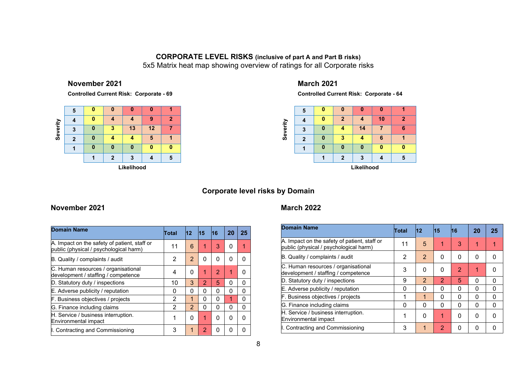#### **CORPORATE LEVEL RISKS (inclusive of part A and Part B risks)**

5x5 Matrix heat map showing overview of ratings for all Corporate risks

#### **November <sup>2021</sup>**

**Controlled Current Risk: Corporate - <sup>69</sup>**

|          | 5          | 0 |   | O  | 0  |              |  |  |  |  |  |  |
|----------|------------|---|---|----|----|--------------|--|--|--|--|--|--|
|          |            | 0 |   |    | 9  | $\mathbf{2}$ |  |  |  |  |  |  |
| Severity | 3          | 0 | 3 | 13 | 12 |              |  |  |  |  |  |  |
|          | 2          | 0 |   |    | 5  |              |  |  |  |  |  |  |
|          |            | 0 | O | 0  | 0  | 0            |  |  |  |  |  |  |
|          |            |   | 2 | 3  |    | 5            |  |  |  |  |  |  |
|          | Likelihood |   |   |    |    |              |  |  |  |  |  |  |

### **March <sup>2021</sup>**

**Controlled Current Risk: Corporate - <sup>64</sup>**



#### **Corporate level risks by Domain**

#### **November 2021**

| <b>Domain Name</b>                                                                     | Total | 12             | <b>15</b> | <b>16</b>      | 20 | 25 |
|----------------------------------------------------------------------------------------|-------|----------------|-----------|----------------|----|----|
| A. Impact on the safety of patient, staff or<br>public (physical / psychological harm) | 11    | 6              | 1         | 3              | O  | 1  |
| B. Quality / complaints / audit                                                        | 2     | 2              | 0         | 0              | 0  | O  |
| C. Human resources / organisational<br>development / staffing / competence             | 4     | 0              | 1         | $\overline{2}$ |    | n  |
| D. Statutory duty / inspections                                                        | 10    | 3              | 2         | 5              | 0  | 0  |
| E. Adverse publicity / reputation                                                      | 0     | 0              | 0         | 0              | 0  | 0  |
| F. Business objectives / projects                                                      | 2     | 1              | 0         | 0              | 1  | 0  |
| G. Finance including claims                                                            | 2     | $\overline{2}$ | 0         | 0              | 0  | 0  |
| H. Service / business interruption.<br>Environmental impact                            | 1     | 0              | 1         | 0              | 0  | O  |
| I. Contracting and Commissioning                                                       | 3     |                | 2         | 0              | O  | 0  |

#### **March 2022**

| <b>Domain Name</b>                                                                     | Total    | 112            | 15             | 16             | 20       | 25 |
|----------------------------------------------------------------------------------------|----------|----------------|----------------|----------------|----------|----|
| A. Impact on the safety of patient, staff or<br>public (physical / psychological harm) | 11       | 5              |                | 3              | 1        |    |
| B. Quality / complaints / audit                                                        | 2        | $\overline{2}$ | 0              | 0              | $\Omega$ | O  |
| C. Human resources / organisational<br>development / staffing / competence             | 3        | 0              | 0              | $\overline{2}$ | 1        | O  |
| D. Statutory duty / inspections                                                        | 9        | $\overline{2}$ | 2              | 5              | 0        | 0  |
| E. Adverse publicity / reputation                                                      | 0        | 0              | 0              | 0              | 0        | 0  |
| F. Business objectives / projects                                                      | 1        | 1              | $\Omega$       | 0              | $\Omega$ | 0  |
| G. Finance including claims                                                            | $\Omega$ | $\Omega$       | $\Omega$       | 0              | $\Omega$ | 0  |
| H. Service / business interruption.<br>Environmental impact                            | 1        | O              | 1              | 0              | $\Omega$ | O  |
| I. Contracting and Commissioning                                                       | 3        | 1              | $\overline{2}$ | 0              | 0        |    |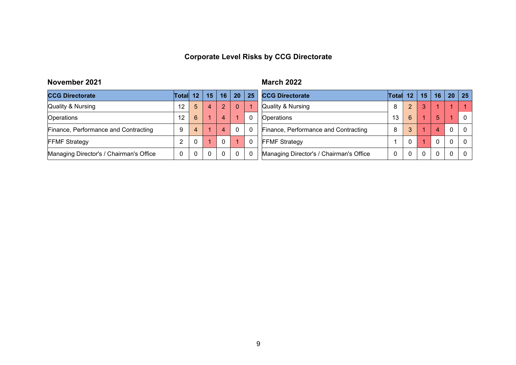### **Corporate Level Risks by CCG Directorate**

### **November <sup>2021</sup>**

**1** March **<sup>2022</sup>**

| <b>CCG Directorate</b>                  | <b>Total</b>      | 12           | 15 | 16 | 20 <sup>1</sup> | 25           | <b>CCG Directorate</b>                  | <b>Total</b> | 12             | 15 | 16       | 20       | -25      |
|-----------------------------------------|-------------------|--------------|----|----|-----------------|--------------|-----------------------------------------|--------------|----------------|----|----------|----------|----------|
| Quality & Nursing                       | $12 \overline{ }$ | 5            |    | 2  |                 |              | Quality & Nursing                       | 8            | $\overline{2}$ |    |          |          |          |
| <b>Operations</b>                       | $12 \overline{ }$ | 6            |    |    |                 | $\mathbf{0}$ | Operations                              | 13           | 6              |    | 5        |          | $\Omega$ |
| Finance, Performance and Contracting    | 9                 |              |    | 4  |                 | $\mathbf{0}$ | Finance, Performance and Contracting    | 8            |                |    | 4        | $\Omega$ | $\Omega$ |
| <b>FFMF Strategy</b>                    |                   |              |    |    |                 | $\Omega$     | <b>FFMF Strategy</b>                    |              |                |    | $\Omega$ | $\Omega$ | $\Omega$ |
| Managing Director's / Chairman's Office |                   | $\mathbf{0}$ |    |    |                 | $\mathbf{0}$ | Managing Director's / Chairman's Office |              |                |    | $\Omega$ |          | $\Omega$ |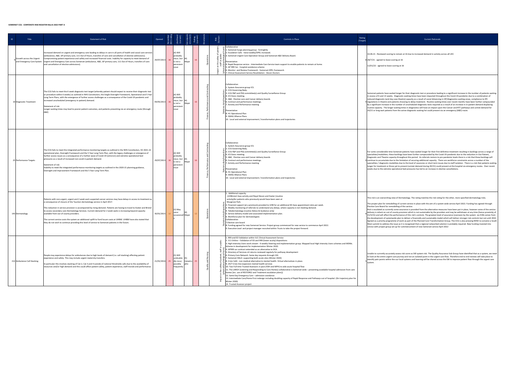#### **SOMERSET CCG - CORPORATE RISK REGISTER March 2022 PART A**

(Target) Current Rationale

16.06.21 - Reviewed scoring to remain at 16 due to increased demand in activity across all UEC

eave scoring at 16

Somerset patients have waited longer for their diagnostic test or procedure leading to a significant increase in the number of patients waiting<br>in excess of 6 and 13 weeks. Diagnostic waiting times have been impacted throu routine capacity. The longer waiting times in diagnostics will have an impact upon the Cancer and RTT pathways and unmet demand for<br>20/21 or long wait patients from the active diagnostic waiting list could present via an e

For some considerable time Somerset patients have waited longer for their first definitive treatment resulting in backlogs across a range of specialities; these backlogs have been further compounded by the Covid-19 pandemi longer for treatment or those yet to present (unmet demand during 20/21) could present at the hospital via emergency routes. Over recent<br>weeks due to the extreme operational bed pressures has led to an increase in elective

ing view of Dermatology. The rating matches the risk rating for the other, more specified dermatology risks.

modelling of current service in place with the aim of a system wide service April 2022. Funding has agreed through

Elective Care Board for remodelling of the service. Risk is escalated as currently some assurance is provided from the alternative measures have been put in place, however some of the service delivery is reliant on out of county provision which is not sustainable by the providers and may be withdrawn at any time (hence proximity of 31/3/21) and vill affect the performance of this risk's controls. The greatest l

curately assess risk score as SW system risk. The Quality Assurance Sub Group have identified that as a system, we nee to look at the entire urgent care journey and not an isolated point in the urgent care flow. Therefore end to end reviews will take place to<br>identify pain points within the our local systems and learning will be shared acr

| $\blacksquare$ | Title                                                 | <b>Statement of Risk</b>                                                                                                                                                                                                                                                                                                                                                                                                                                                                                                                                                                                                                                                                                           | Opened        |    |                                                                               |              |        | Risk<br>Domair | Controls in Place                                                                                                                                                                                                                                                                                                                                                                                                                                                                                                                                                                                                                                                                                                                                                                                                                                                                                                                                                                                                                                                                                                                                                                                                                                                                                                                                                                              | Rating<br>(Target)                                                                                                                                                                                                                                                                                                                                                                                                                          |
|----------------|-------------------------------------------------------|--------------------------------------------------------------------------------------------------------------------------------------------------------------------------------------------------------------------------------------------------------------------------------------------------------------------------------------------------------------------------------------------------------------------------------------------------------------------------------------------------------------------------------------------------------------------------------------------------------------------------------------------------------------------------------------------------------------------|---------------|----|-------------------------------------------------------------------------------|--------------|--------|----------------|------------------------------------------------------------------------------------------------------------------------------------------------------------------------------------------------------------------------------------------------------------------------------------------------------------------------------------------------------------------------------------------------------------------------------------------------------------------------------------------------------------------------------------------------------------------------------------------------------------------------------------------------------------------------------------------------------------------------------------------------------------------------------------------------------------------------------------------------------------------------------------------------------------------------------------------------------------------------------------------------------------------------------------------------------------------------------------------------------------------------------------------------------------------------------------------------------------------------------------------------------------------------------------------------------------------------------------------------------------------------------------------------|---------------------------------------------------------------------------------------------------------------------------------------------------------------------------------------------------------------------------------------------------------------------------------------------------------------------------------------------------------------------------------------------------------------------------------------------|
|                | Growth across the Urgent<br>and Emergency Care System | Increased demand on urgent and emergency care leading to delays in care in all parts of health and social care services<br>(ambulance, A&E, GP primary care, 111 Out of Hours, transfers of care and cancellation of elective admissions).<br>Compromising patient experience and safety and increased financial costs. Inability for capacity to meet demand of<br>Urgent and Emergency Care across Somerset (ambulance, A&E, GP primary care, 111 Out of Hours, transfers of care<br>and cancellation of elective admissions).                                                                                                                                                                                   | 29/07/2013    | 16 | $(4)$ Will<br>probably<br>recur, but<br>is not a<br>persistent<br>issue       | (4)<br>Major |        | ৳<br>ੱਲ ਨ      | Collaborative<br>1. Somerset Surge planning group - fortnightly<br>2. Escalation Calls - twice weekly/OPEL increased.<br>3. Somerset Urgent Care Operation Group and Somerset A&E Delivery Board.<br>Preventative:<br>4. Rapid Response service - Intermediate Care Service team support to enable patients to remain at home.<br>5. GP 999 Car - hospital avoidance scheme<br>6. Monitor and Review Framework - Somerset OPEL framework.<br>은 7. Clinical Assessment Service Revalidation - Devon Doctors                                                                                                                                                                                                                                                                                                                                                                                                                                                                                                                                                                                                                                                                                                                                                                                                                                                                                     | 16.06.21 - Reviewed scoring to remain<br>8 28/7/21 - agreed to leave scoring at 16<br>12/01/22 - agreed to leave scoring at 1                                                                                                                                                                                                                                                                                                               |
|                | 10 Diagnostic Treatment                               | The CCG fails to meet the 6 week diagnostic test target (whereby patient should expect to receive their diagnostic test<br>or procedure within 6 weeks) as outlined in NHS Constitution, the Single Oversight Framework, Operational and 5 Year<br>Long Term Plans, with the emergence of further access challenges as a consequence of the Covid-19 pandemic and<br>increased unscheduled (emergency in-patient) demand.<br>Statement of risk<br>Longer waiting times may lead to poorer patient outcomes, and patients presenting via an emergency route (through<br>A&E)                                                                                                                                        | 09/05/2013    | 16 | $(4)$ Will<br>probably<br>recur, but $(4)$<br>is not a<br>persistent<br>issue | Major        |        |                | Collaborative:<br>1. System Assurance group ICS.<br>2. CCG Governing Body.<br>3. CCG F&P and PSQ committee(s) and Quality Surveillance Group<br>4. ICS Execs meeting.<br>5. A&E, Elective care and Cancer delivery boards<br>6. Contract and performance meetings.<br>7. Activity and Performance meeting<br>Preventative:<br>8. H1 Operational Plan<br>9. SWAG Alliance Plans<br>10. Local and external improvement / transformation plans and trajectories                                                                                                                                                                                                                                                                                                                                                                                                                                                                                                                                                                                                                                                                                                                                                                                                                                                                                                                                   | Somerset patients have waited longer f<br>n excess of 6 and 13 weeks. Diagnostic<br>reduced diagnostic (and day case theat<br>9 regulations in theatre and patients cho<br>by a significant increase in the number<br>routine capacity. The longer waiting tir<br>20/21 or long wait patients from the ac                                                                                                                                   |
|                | 25 Performance Targets                                | The CCG fails to meet the integrated performance monitoring targets as outlined in the NHS Constitution, H2 2021-22<br>operational plan, Oversight Framework and the 5 Year Long Term Plan, with the legacy challenges or emergence of<br>further access issues as a consequence of a further wave of Covid-19 (omicron) and extreme operational bed<br>pressures as a result of increased non-covid in-patient demand.<br>Statement of risk<br>Inability to meet the integrated performance monitoring targets as outlined in the 2020-21 planning guidance,<br>Oversight and Improvement Framework and the 5 Year Long Term Plan.                                                                                | 29/07/2013    | 16 | $(4)$ Will<br>probably<br>recur, but<br>is not a<br>persistent<br>issue       | (4)<br>Major |        |                | Collaborative:<br>1. System Assurance group ICS.<br>2 2. CCG Governing Body.<br>3. CCG F&P and PSQ committee(s) and Quality Surveillance Group<br>4. ICS Execs meeting.<br>5. A&E, Elective care and Cancer delivery boards<br>6. Contract and performance meetings.<br>호 7. Activity and Performance meeting<br>Preventative:<br>이 8. H1 Operational Plan<br>9. SWAG Alliance Plans<br>10. Local and external improvement / transformation plans and trajectories                                                                                                                                                                                                                                                                                                                                                                                                                                                                                                                                                                                                                                                                                                                                                                                                                                                                                                                             | For some considerable time Somerset p<br>specialities/modalities; these backlogs I<br>Diagnostic and Theatre capacity throug<br>9 continue to accumulate due to the limit<br>specialities / diagnostic modalities due<br>longer for treatment or those yet to pre<br>weeks due to the extreme operational I                                                                                                                                 |
|                | 143 Dermatology                                       | Patients with non-urgent, urgent and 2 week wait suspected cancer services may have delays in access to treatment as<br>a consequence of closure of the Taunton dermatology service in April 2017.<br>This reduction in service provision is accompanied by rising demand. Patients are having to travel to Exeter and Bristol<br>to access secondary care Dermatology Services. Current demand for 2 week waits is increasing beyond capacity<br>available from out of county providers.<br>The current service costs the system an additional uplift to fund locum costs at UHBW. UHBW have also stated that<br>they do not wish to continue providing this level of service to Somerset patients in the future. | 30/01/2015    | 12 | $(3)$ May<br>recur<br>occasionall Major                                       |              |        |                | 1. Additional capacity<br>-(UHBristol 2ww activity and Royal Devon and Exeter (routine<br>activity)for patients who previously would have been seen at<br>Musgrove Park.<br>2. Financial support (at a premium) provided to UHB for an additional 40 2ww appointment slots per week.<br>3. Weekly monitoring of referrals to understand any delays, where capacity is not meeting demand.<br>4. Teledermatology (routine Advice & Guidance only)<br>5. Service delivery model and associated implementation plan.<br>6. Workforce plan for dermatologists<br>Collaborative:<br>7.Elective care board<br>5 8. Funding agreed for new Somerset Service. Project group commenced for new service to commence April 2022.<br>9. Executive Lead and project manager recruited within Trusts to take the project forward.                                                                                                                                                                                                                                                                                                                                                                                                                                                                                                                                                                            | This risk is an overarching view of Derm<br>The project plan for remodelling of curr<br>Elective Care Board for remodelling of t<br>Risk is escalated as currently some assu<br>delivery is reliant on out of county prov<br>31/3/21) and will affect the performan<br>the development of systemwide plan to<br>Agreed as a priority programme of wor<br>West summit to address the issue as it<br>service with project group set up for co |
|                | 212 Ambulance Call Stacking                           | People may experience delays for ambulances due to high levels of demand (i.e. call stacking) affecting patient<br>experience and safety. This may include urgent maternity transfers.<br>In particular this involves stacking of Cat 2, Cat 3 and 4 outside of national thresholds calls due to the availability of<br>resources and/or high demand and this could affect patient safety, patient experience, staff morale and performance.                                                                                                                                                                                                                                                                       | 21/01/2016 25 |    | $(5)$ Will<br>undoubte<br>dly recur, Catastro 25<br>possibly<br>frequently    | (5)          | ξ<br>≧ |                | 1. 999 and ED Validation within IUC Clinical Assessment Service<br>2. 111 Online - Validation of ED and 999 (lower acuity) dispositions<br>3. High Intensity Users work stream - 6 weekly Steering and implementation group. Mapped local High Intensity Users schemes and MDMs.<br>Scheme in development for implementation Winter 2020.<br>$\mathsf{E}$ 4. GP999 car contract extended as an alternative to DCA.<br>5. Directory of Services nil returns reviewed regularly for pathway development<br><b>B</b> 6. Primary Care Network. Same day requests through CAS<br>8 7. Somerset HALO- supporting both acute sites (Winter 2020)<br>8. Crisis Café - non medical alternative to mental health. Virtual alternatives in place.<br>$\frac{1}{2}$ 9. 24/7 Crisis line expansion mental health services<br>$\frac{1}{20}$ 10. Two Full time Trusted Assessors in post (YDH and MPH) to aide acute hospital flow<br>11. The LARCH (Listening and Responding to Care Homes) collaborative is Somerset wide – preventing avoidable hospital admission from care<br>homes [inc. use of RESTORE2 and Treatment escalation plans])<br>12. Same Day Emergency Care - admission avoidance<br>13. Intermediate Care/Home First redesign including doubling capacity of Rapid Response and Pathways out of hospital. (On trajectory plan for<br><b>Winter 2020)</b><br>14. Trusted Assessor project | Unable to currently accurately assess ri<br>to look at the entire urgent care journe<br>identify pain points within the our local<br>system.                                                                                                                                                                                                                                                                                                |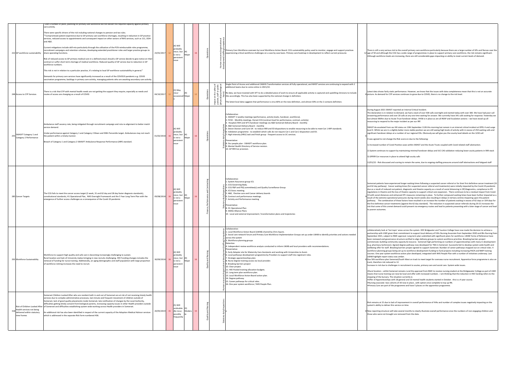collaboratively look at 'hot topic' areas across the system. HEE Bridgwater and Taunton College have now made the decision to achieve a partnership with UWE given their commitment to support local delivery of FdSc Nursing Associate from September 2020 and BSc Nursing from<br>September 2021, subject to NMC approval. Long term plan submitted with significant pl vernance structure verified to align delivery groups to system workforce priorities. Breaking barriers project commenced, building community capacity & resource. Somerset high performing on numbers of apprenticeships with many in development<br>(e.g. pharmacy technician). Agreed degree pathway now developed for TNA in Somerset. Succes wellbeing offer for staff. Breaking barriers project agreed to support Somerset. Number of career pathways mapped out on critical roles. 4<br>workforce planning groups being set up to workforce development funding to fund pro em workforce action plan developed, integrated with NHS People Plan with a number of initiatives underway. Last end higher collections.

n Somerset/South West on track to meet target for overseas nurse recruitment. Apprentice force programme is also o  $duced to 12.$ 

Increase in recruitment to acutes, primary care and social care. System wide issues.<br>Challenges in recruitment to acutes, primary care and social care. System wide issues.

t Somerset remains rural the approval from NMC to receive nursing student at the Bridgewater College as part of UWE ing can now be local and offer with increased numbers . I am thinking that the reduction in HEE funding refers to the .<br>The situation currently is-

e<br>ips with 18 general and 10 mental health students started in October . this is a 4 year course.

.<br>• cohorts of 30 now in place , with option once complete to top up RN.

of the programme and have 5 places on the apprentice programme.

to lack of improvement in overall performance of IHAs and number of complex issues negatively impacting on the to lack or improvement

will take several months to clearly illustrate overall performance once the numbers of non engaging children and ought are removed from the data.

| 222 GP workforce sustainability                                               | Over a number of years, planning for primary care workforce did not deliver the required capacity against primary<br>care activity.<br>There were specific drivers of the risk including national changes to pension and tax rules.<br>"Compromised patient experience due to GP primary care workforce shortages, resulting in reduction in GP practice<br>services, reduced access to appointments and consequent impact on other sectors of NHS services, such as 111, OOH<br>and A&E.<br>Current mitigations include skill-mix particularly through the utilisation of the PCN reimbursable roles programme,<br>recruitment campaigns and retention schemes, developing extended practitioner roles and larger practice groups to<br>share operating functions.<br>Risk of reduced access to GP primary medical care in a defined area/s should a GP service decide to give notice on their<br>contract or suffer short term shortage of medical workforce. Reduced quality of GP service due to reduction in GP<br>workforce numbers.<br>This risk is not in relation to a particular practice, it's relating to local GP workforce sustainability in general."<br>Demands for primary care services have significantly increased as a result of the COVID19 pandemic e.g. COVID<br>vaccination programme, backlogs in primary care activity, managing patients who are awaiting secondary care activity. | 23/01/2017    |    | $(4)$ Will<br>probably<br>recur, but (4)<br>is not a<br>Major<br>persistent<br>issue<br>(3) May | 16 | Operations | :<br>tence<br>Primary Care Workforce overseen by Local Workforce Action Board. CCG sustainability policy used to monitor, engage and support practices<br>experiencing critical workforce challenges on a case by case basis. Primary care heatmap in development to reflect current pressures<br>Single Point of Access and additional CAMHS Transformation services all fully operational, and MHST services are continuing to expand with 2<br>"ದೆ. ⊴ ಕ<br>additional teams due to come online in 2021/22.<br>4 호텔<br>미국<br>미국                                                                                                                                                                                                                                                                                                                                                                                                                                                                                                               | There is still a very serio<br>12 age of 50 and although<br>Although workforce lev                                                                                                                                                                                                                                                                                                                                                                                                                                             |
|-------------------------------------------------------------------------------|----------------------------------------------------------------------------------------------------------------------------------------------------------------------------------------------------------------------------------------------------------------------------------------------------------------------------------------------------------------------------------------------------------------------------------------------------------------------------------------------------------------------------------------------------------------------------------------------------------------------------------------------------------------------------------------------------------------------------------------------------------------------------------------------------------------------------------------------------------------------------------------------------------------------------------------------------------------------------------------------------------------------------------------------------------------------------------------------------------------------------------------------------------------------------------------------------------------------------------------------------------------------------------------------------------------------------------------------------------------------------------------------------------------|---------------|----|-------------------------------------------------------------------------------------------------|----|------------|-------------------------------------------------------------------------------------------------------------------------------------------------------------------------------------------------------------------------------------------------------------------------------------------------------------------------------------------------------------------------------------------------------------------------------------------------------------------------------------------------------------------------------------------------------------------------------------------------------------------------------------------------------------------------------------------------------------------------------------------------------------------------------------------------------------------------------------------------------------------------------------------------------------------------------------------------------------------------------------------------------------------------------------------------|--------------------------------------------------------------------------------------------------------------------------------------------------------------------------------------------------------------------------------------------------------------------------------------------------------------------------------------------------------------------------------------------------------------------------------------------------------------------------------------------------------------------------------|
| 248 Access to CYP Services                                                    | There is a risk that CYP with mental health needs are not getting the support they require, especially as needs and<br>routes of access are changing as a result of COVID.                                                                                                                                                                                                                                                                                                                                                                                                                                                                                                                                                                                                                                                                                                                                                                                                                                                                                                                                                                                                                                                                                                                                                                                                                                     | 04/10/2017    | 12 | recur<br>occasionall Major                                                                      |    |            | ਲੈਂ ਰੋ ਜ਼ੋਂ<br>을 높은 Re data, we have invested with SFT to do a detailed piece of work to ensure all applicable activity is captured and upskilling clinicians to include<br>this accordingly. This has also been supported by the national change in definition.<br>este<br>Tradições<br>Tradições<br>The latest local data suggests that performance is circa 60% on the new definition, and almost 30% on the 2 contacts definition.                                                                                                                                                                                                                                                                                                                                                                                                                                                                                                                                                                                                          | Latest data shows fairly<br>8 picture. As demand for                                                                                                                                                                                                                                                                                                                                                                                                                                                                           |
| SWASFT Category 1 and<br>255 Category 2 Performance                           | Ambulance staff vacancy rate, being mitigated through recruitment campaign and rota re-alignment to better match<br>service demand.<br>Jnder-performance against Category 1 and Category 2 Mean and 90th Percentile target. Ambulances may not reach<br>he patient within a timely manner.<br>Breach of Category 1 and Category 2 SWASFT Ambulance Response Performance (ARP) standard.                                                                                                                                                                                                                                                                                                                                                                                                                                                                                                                                                                                                                                                                                                                                                                                                                                                                                                                                                                                                                        | 01/02/2018 16 |    | $(4)$ Will<br>probably<br>recur, but<br>Major<br>is not a<br>persistent<br>issue                | 16 |            | Collaborative:<br>1. SWASFT 2 weekly meetings (performance, activity levels, handover, workforce).<br>2. FICSC - Monthly meetings. Dorset CCG (contract lead for performance, contract, activity).<br>3. Hospital (YDH and SFT) handover meetings via A&E Somerset Delivery Board - monthly<br>4. A&E Somerset Delivery Board - monthly<br>5. Devon Doctors and Care UK - to reduce 999 and ED dispositions to enable resourcing to be able to meet Cat 1 ARP standards.<br>6. Validation programme - to establish which calls do not require Cat 1 and Cat 2 disposition and ED.<br>7. High Intensity (HRU) task and finish group - frequent access to UC services.<br>Preventative:<br>8. Our people plan - SWASFT workforce plan.<br>9. Mental Health Directory of Service revision.<br>10. GP 999 Car provision.                                                                                                                                                                                                                            | During August 2021 SW<br>The declaration is in rel<br>answering performance<br>lost almost 900hrs due<br>resourcing to respond t<br>SWAST de-escalated fro<br>level 4. Whilst we are in<br>significant handover de<br>It was agreed to not cha<br>1) Increased number of<br>2) System continues to<br>3) GP999 Car resources<br>12/01/22 - Risk discuss                                                                                                                                                                        |
| 285 Cancer Targets                                                            | The CCG fails to meet the cancer access target (2 week, 31 and 62 day and 28 day faster diagnosis standards),<br>constitutional standards, H1 Operational Plan, NHS Oversight Framework and the 5 Year Long Term Plan with the<br>emergence of further access challenges as a consequence of the Covid-19 pandemic                                                                                                                                                                                                                                                                                                                                                                                                                                                                                                                                                                                                                                                                                                                                                                                                                                                                                                                                                                                                                                                                                             | 09/08/2018 16 |    | $(4)$ Will<br>probably<br>recur, but<br>(4)<br>Major<br>is not a<br>persistent<br>issue         |    |            | Collaborative:<br>1. System Assurance group ICS.<br>2. CCG Governing Body.<br>3. CCG F&P and PSQ committee(s) and Quality Surveillance Group<br>4. ICS Execs meeting.<br>5. A&E, Elective care and Cancer delivery boards<br>6. Contract and performance meetings.<br>7. Activity and Performance meeting<br>Preventative:<br>កី 8. H1 Operational Plan<br>9. SWAG Alliance Plans<br>10. Local and external improvement / transformation plans and trajectories                                                                                                                                                                                                                                                                                                                                                                                                                                                                                                                                                                                 | Somerset patients have<br>and 62 day pathway). (<br>due as a result of reduc<br>regulations in theatre a<br>19 with social distances<br>result of the extreme of<br>pathway. The combin<br>the first definitive cance<br>risk that some of this ur<br>to poorer outcomes.                                                                                                                                                                                                                                                      |
| 292 Workforce Sustainability                                                  | Workforce to support high quality and safe care is becoming increasingly challenging to sustain.<br>Rural location and lack of University makes bringing in new recruits challenging. HEE Funding changes includes the<br>emoval of funding for nurse training. Additionally, an aging demographic and staff population with large proportion<br>of workforce retiring increases the need to recruit.                                                                                                                                                                                                                                                                                                                                                                                                                                                                                                                                                                                                                                                                                                                                                                                                                                                                                                                                                                                                          | 30/09/2018 16 |    | $(4)$ Will<br>probably<br>recur, but<br>Major<br>is not a<br>persistent<br>issue                |    |            | Collaborative:<br>1. Local Workforce Action Board (LWAB) chaired by Chris Squire.<br>2. Social care network forum and Primary Care Workforce Implementation Groups set up under LWAB to identify priorities and actions needed<br>across the system<br>3. Workforce planning groups<br>Detective:<br>4. Independent review workforce analysis conducted to inform LWAB and local providers with recommendations.<br>Preventative:<br>5. Early Adopter site for Maternity Care Assistants and working with Universities to Assist.<br>6. Local pathways development programme by Providers to support staff into registrant roles.<br>7. Strategic apprenticeships plan.<br>8. Nurse degree training access via local provider.<br>9. Breaking barriers project<br>10. Clear project.<br>11. HEE Pooled training allocation budgets.<br>12. Long term plan workforce plan.<br>13. Local Workforce Action Board action plan.<br>14. Degree pathway<br>15. Career pathways for critical roles.<br>16. One year system workforce / NHS People Plan. | collaboratively look at '<br>partnership with UWE g<br>September 2021, subje<br>been reviewed and gov<br>commenced, building c<br>(e.g. pharmacy technici<br>wellbeing offer for staff<br>workforce planning gro<br>courses. One year syste<br>LWAB highlight report s<br>8 Gov 50k workforce plar<br>track, therefore risk red<br>Increase in risk due to o<br>.Rural location - whilst<br>means that nurse traini<br>stopping of the bursary<br>.Offer of Apprenticeshi<br>.Nursing associate -two<br>.Primary Care are part |
| Health services not being<br>318<br>delivered within statutory<br>time frames | Somerset Children Looked After who are resident both in and out of Somerset are at risk of not receiving timely health<br>services due to complex administrative processes, last minute and frequent movement of children outside of<br>Somerset, lack of good quality placements inside Somerset, late notification of changes by the Local Authority,<br>difficulties getting timely consent from biological parents, increasing capacity issues in other Health providers outside<br>Risk of Children Looked After of Somerset and difficulties establishing system wide working across Health providers in Somerset.<br>An additional risk has also been identified in respect of the current capacity of the Adoption Medical Advisor services<br>which is addressed in the separate Risk form numbered 436.                                                                                                                                                                                                                                                                                                                                                                                                                                                                                                                                                                                              | 20/05/2019 15 |    | $(5)$ Will<br>undoubte (3)<br>Modera 15<br>dly recur,<br>possibly<br>frequently                 |    | Βnε<br>ど   | ory duty                                                                                                                                                                                                                                                                                                                                                                                                                                                                                                                                                                                                                                                                                                                                                                                                                                                                                                                                                                                                                                        | Risk remains at 15 due<br>system's ability to deliv<br>8 New reporting structure<br>those who were not bro                                                                                                                                                                                                                                                                                                                                                                                                                     |

ous risk to the overall primary care workforce particularly because there are a large number of GPs and Nurses over th age of 50 and although the CCG has a wide range of programmes in place to support primary care workforce, the risk remains significant.<br>Although workforce levels are increasing, there are still considerable gaps impacting

> y static performance. However, we know that the issues with data completeness mean that this is not an accurate cYP services continues to grow due to COVID, there is no change to the risk level.

#### VAST reported an Internal Critical Incident.

Iation to demand, we had a stack of over 500 calls overnight and started today with over 300. We have had poor call answering performance and over 20 calls at any one time waiting for answer. We currently have 341 calls waiting for response. Yesterday we<br>lost almost 900hrs due to Acute Trust handover delays. VH58 is in place as are all respond to the major incident as per our IRP.

> om our MI status on 10th September 1126 this morning but remain in an internal critical incident at OPEL 4 and surge on our whistatus on 10th september 1120 this morning but remain in an internationteal incluent at OFLE4 and surge<br>In a slightly better more stable position we are still seeing high levels of activity with in excess of 250 in a significant delays at a number of our regional EDs. Obviously we will give you the county level details on the 1230 call

iange the Risk score on due to the following:

f Covid Positive cases within SWAST and the Acute Trusts coupled with Covid related staff abstraction.

support by maintaining minimal handover delays and IUC CAS validation reducing lower acuity patients in 999 stack

s in place to attend high acuity calls

ed and scoring to remain the same, due to ongoing staffing pressures around staff abstractions and fatigued staff

Somerset patients have experienced longer waiting times following a suspected cancer referral or for their first definitive cancer treatment (31<br>and 62 day pathway). Cancer waiting times (for suspected cancer referral and due as a result of reduced out-patient, diagnostic and theatre capacity as a result of social distancing in OP/diagnostics, compliance to IPC regulations in theatre and the loss of theatre capacity to support critical care expansion. There continues to be a residual impact from Covid-<br>19 with social distances and enhanced IPC measures remaining in place. To furt result of the extreme operational pressures during recent weeks also resulting in delays in tertiary centres impacting upon the patient<br>pathway. The combination of these factors have resulted in an increase the number of p the first definition first definition of the factor of the reduction in suspected cancer referrals during 20-21 increases the cancer referrals during 20-21 increases the risk techniciscome of the some of this unmet demand in the sometime of the manned demand could present via emergency routes and lead to patients presenting with a later stage of cancer and lead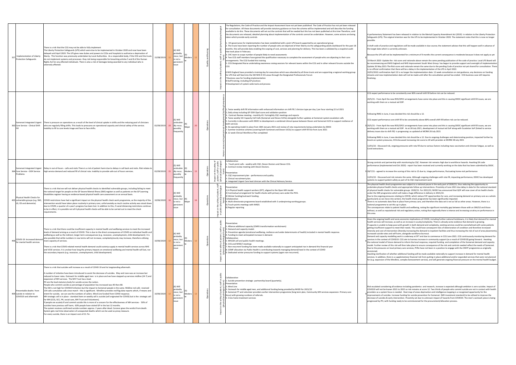he new IR35/OP21 arrangements have come into place and this is causing DDOC significant shift fill issues, we are working with them on a mutual aid SOP. As at 28 July 2021, development of mutual aid SoP along with Escalation SoP (linked to service delivery issues due to shift fill) is progressing: as updated at MCRM 28 July 2021

Following RMG in June, it was decided this risk should be a 12. Due to ongoing challenges and deteriorating position, impacted further by<br>knock-on system pressures, CCG discussed increasing risk score to 20 with provider a

.<br>1212 - isk, ongoing pressures with rota fill due to various factors including mass vaccination and clinician fatigue, as well as

rtnership with monitoring by CQC. However risk remains high due to workforce hazards. Awaiting DX code ented end Oct 2020) - report has been received and currently working on the data that has been submitted by DDOC.

crease the scoring of this risk to 15 due to, triage performance, fluctuating home visit performance

and risk remains the same. Although ongoing challenges with rota fill, impacting performance, DDOC has developed systems to support patient safety as part of its CQC improvement work

The physical health check programme was subject to a national pause in the early part of 2020/21, thus reducing the opportunity to<br>undertake physical health checks and appropriate follow up interventions. Proximity of June

under the SMI programme which will make a huge difference in delivery in 2021/22.<br>Due to the ongoing pressures relating to COVID, which reduce F2F opportunities for care, and increasing demand on primary care as a whole ve into winter), the health check programme has been significantly impacted The mind winter, the nearly check programme has seen significantly impleted.<br>data flow in place from primary care, and therefore the data set is not as full as other areas. However, there is a

o set this up in place.

The consequences relate to patient health and wellbeing, noting the significant mortality gap between those with an SMI/LD and those<br>without, as well as reputational risk and regulatory action, noting that regionally there

Following RMG in June, it was decided this risk should be a 12.

Ice core shift fill to be consistently above 80% overall shift fill before risk can be reduced.

Ith and socio-economic implications of COVID, including further national lockdowns, it is likely that demand for mental health services will increase, as well as an increase in acuity/complexity. There is already some evidence that demand is growing.<br>If capacity is unable to keep pace with growth in both demand and complexity, existing serv poort to meet their needs. This could have consequent risks of deterioration of condition and therefore increased intensity and cost of intervention (thereby increasing the demand to inpatient facilities and thus increasing the risk of out of area placements), increased suicide rates and self harm, alongside workforce burnout.

modelling work is underway at SFT and due to commence in CCG June 2021. CCG continuously monitoring demand for services in the context of COVID19. CCG aim to harness increase in community support (as a result of COVID19) going forward. Awaiting<br>the national model of future demand to inform the local response, required funding and c model. Further review of this risk will then take place to ensure consequence of the risk and controls needed reflect the needs of Somerset. Due to the pressures on local primary care services, PCNs have not been in a position to engage with the CMHT programme as originally

f whether additional funding will be made available nationally to support increase in demand for mental health services. In addition, there is a supplementary financial risk from putting in place additional and/or expanded services that were not planned<br>for (e.g. expansion of the Mindline, complex bereavement service), and will gen

ring all evidence including pandemics and research, increase is expected although ambition is zero suicides. Impact of own 2021 to 2022 so risk remains at score 12. Two thirds of people who commit suicide are not in contact with health focus is needed. Heat map of areas deprivation and intelligence mapping is a recognised opportunity for the improvements of suicides. Increase funding for suicide prevention for Somerset (MH investment standard) to be utilised to improve the<br>decrease of suicides & early intervention. Proximity set due to unknown impact of hazard progressed by PH, with funding the funding ready to be commissioned for the procurement/allocation process.

| 327 Implementation of Liberty<br>Protection Safeguards                                 | There is a risk that the CCG may not be able to fully implement<br>The Liberty Protection Safeguards (LPS) which were due to be implemented in October 2020 and now have been<br>delayed until April 2020. The LPS gives new duties and powers to CCGs and hospitals to authorise a deprivation of<br>liberty. This function was previously undertaken by Local Authorities. As a responsible body, if the CCG and the trusts<br>do not implement systems and processes they risk being responsible for breaching articles 5 and 8 of the Human<br>Rights Act for any affected individuals. There is also a risk of damages being awarded to any individual who is<br>adversely affected.                                                                                                                                                                                                                                                                                                                                                                                                                                                                                                                                                                                                                                                                                                                                                                                                                                                                                                                | 15/08/2019    |    | $(4)$ Will<br>probably<br>recur, but<br>Modera<br>is not a<br>persistent<br>issue       |    | and  |                                                                                                                 | The Regulations, the Code of Practice and the Impact Assessment have not yet been published. The Code of Practice has not yet been released<br>for consultation. All these documents will provide statutory guidance on how the scheme will be implemented and will describe the funding<br>available to do this. These documents will set out the controls that will be needed but this has not been published at this time Therefore, until<br>the documents are released, detailed planning about implementation of the controls cannot be undertaken. However, some actions are being<br>taken which provide early controls<br>1. ICS governance for implementation has been established with a joint LPS board supported by an operational group<br>2. The trusts have been reporting the number of people who are deprived of their liberty via the safeguarding adults dashboard for the past 18<br>months. this will provide data enabling the scoping of cost, services and planning for delivery. This has been a validated by a snapshot audit<br>that took place in February<br>3. CHC team to scope number of people likely to need assessments<br>4. Two CCG staff members have gained the qualification necessary to complete the assessment of people who are objecting to their care<br>arrangements. The CCG funded this training<br>5. CCG Designated Nurse undertaking awareness raising sessions for relevant teams within the CCG and in other relevant forums outside the<br>CCG<br>6 NHS England have provided a training day for executives which was attended by all three trusts and are supporting a regional working group<br>for LPS that will feed into the SW NHS EI ICS areas through the Designated Professionals Forum<br>7 Business case for funding implementation<br>8 Staff training; including GP practices<br>9 Development of system wide tools and process | A parliamentary Staten<br>Safeguards (LPS). The c<br>possible.<br>A draft code of practice<br>the target date which i<br>Because the LPS will no<br>19 March 2020 - Updat<br>be recommencing and<br>Update 26 May 2021-T<br>is no official confirmati<br>10/01/2022 confirmati<br>streams and new imple<br>finalising.                                                                                   |
|----------------------------------------------------------------------------------------|----------------------------------------------------------------------------------------------------------------------------------------------------------------------------------------------------------------------------------------------------------------------------------------------------------------------------------------------------------------------------------------------------------------------------------------------------------------------------------------------------------------------------------------------------------------------------------------------------------------------------------------------------------------------------------------------------------------------------------------------------------------------------------------------------------------------------------------------------------------------------------------------------------------------------------------------------------------------------------------------------------------------------------------------------------------------------------------------------------------------------------------------------------------------------------------------------------------------------------------------------------------------------------------------------------------------------------------------------------------------------------------------------------------------------------------------------------------------------------------------------------------------------------------------------------------------------------------------------------|---------------|----|-----------------------------------------------------------------------------------------|----|------|-----------------------------------------------------------------------------------------------------------------|-------------------------------------------------------------------------------------------------------------------------------------------------------------------------------------------------------------------------------------------------------------------------------------------------------------------------------------------------------------------------------------------------------------------------------------------------------------------------------------------------------------------------------------------------------------------------------------------------------------------------------------------------------------------------------------------------------------------------------------------------------------------------------------------------------------------------------------------------------------------------------------------------------------------------------------------------------------------------------------------------------------------------------------------------------------------------------------------------------------------------------------------------------------------------------------------------------------------------------------------------------------------------------------------------------------------------------------------------------------------------------------------------------------------------------------------------------------------------------------------------------------------------------------------------------------------------------------------------------------------------------------------------------------------------------------------------------------------------------------------------------------------------------------------------------------------------------------------------------------------------------------------------------|----------------------------------------------------------------------------------------------------------------------------------------------------------------------------------------------------------------------------------------------------------------------------------------------------------------------------------------------------------------------------------------------------------|
| Somerset Integrated Urgent<br>363 Care Service - Clinical Shift<br>l Fill              | There is pressure on operations as a result of the level of clinical uptake in shifts and the reducing pool of clinicians<br>who are regularly filling shifts. This leads to pressures on operational capacity and clinical safety of the service.<br>Inability to fill to core levels triage and face to face shifts.                                                                                                                                                                                                                                                                                                                                                                                                                                                                                                                                                                                                                                                                                                                                                                                                                                                                                                                                                                                                                                                                                                                                                                                                                                                                                   | 02/09/2019 20 |    | $(5)$ Will<br>undoubte<br>dly recur,<br>Major<br>possibly<br>frequently                 | 20 |      |                                                                                                                 | L, Twice weekly shift fill information with enhanced information on shift fill / clinician type per day / per hour starting 22 Jul 2021<br>2, Daily sitrep including GP OOH Opel score and validation position<br>3 Contract Review meeting - monthly.43. Fortnightly CQC meetings and reports<br>4. Twice weekly IUC Capacity Cell Calls (Somerset and Devon IUCSs) alongside further updates at Somerset system escalation calls<br>5. Currently in discussion with DDOC to development a combined clinical queue between Devon and Somerset IUCS to support resilience of<br>both services<br>6. Dx operating model in place from 18th January 2021 and review of rota requirements being undertaken by DDOC<br>7. Summer incentive scheme (covering both Somerset and Devon IUCSs) to support shift fill live from June 2021<br>8. 12 week Clinical Workforce Plan completed                                                                                                                                                                                                                                                                                                                                                                                                                                                                                                                                                                                                                                                                                                                                                                                                                                                                                                                                                                                                                      | CCG expect performan<br>20/5/21 - From April th<br>working with them on<br>Following RMG in June<br>CCG expect performan<br>9 20/5/21 - From April th<br>working with them on<br>delivery issues due to s<br>Following RMG in June<br>knock-on system press<br>12/01/22 - Discussed r<br>Covid extractions.                                                                                              |
| Somerset Integrated Urgent<br>364 Care Service - OOH Service<br>Problems               | Delay in out-of-hours - calls and visits There is a risk of patient harm due to delays in call back and visits. Risk relates to<br>high service demand and reduced fill of clinical rota. Inability to provide safe out of hours services.                                                                                                                                                                                                                                                                                                                                                                                                                                                                                                                                                                                                                                                                                                                                                                                                                                                                                                                                                                                                                                                                                                                                                                                                                                                                                                                                                               | 02/09/2019 15 |    | $(5)$ Will<br>undoubte<br>(3)<br>dly recur,<br>Modera  <br>possibly<br>frequently       | 15 | atio | "ਨ __ ਰ<br>safety<br>or publ<br>todoxi<br>품 등<br>$\frac{1}{5}$ is $\frac{16}{5}$ .<br>este<br>Table<br>En disco | Collaborative:<br>L. Touch point calls - weekly with CQC, Devon Doctors and Devon CCG.<br>2. Contract review meeting with Devon Doctors.<br>Preventative:<br>2. CQC improvement plan - performance and quality.<br>3. Clinical recruitment plan.<br>4. Integrated Urgent Care lead clinician with the Clinical Advisory Service.                                                                                                                                                                                                                                                                                                                                                                                                                                                                                                                                                                                                                                                                                                                                                                                                                                                                                                                                                                                                                                                                                                                                                                                                                                                                                                                                                                                                                                                                                                                                                                      | Strong controls and pa<br>performance (impleme<br>9 28/7/21 - agreed to inc<br>12/01/22 - Discussed a<br>systems to support pat                                                                                                                                                                                                                                                                          |
| Physical Health Checks for<br>405 vulnerable groups (e.g. SMI,<br>LD, ED and dementia) | There is a risk that we will not deliver physical health checks to identified vulnerable groups, including failing to meet<br>the national target for people on the GP Severe Mental Illness (SMI) register as well as patients on the GP Learning<br>Disabilities register having an evidence-based physical health care assessment on an annual basis.<br>COVID restrictions have had a significant impact on the physical health check work programme, as the majority of the<br>intervention would have taken place routinely in primary care; unfortunately as much routine activity was stood down<br>due to COVID, a quarter of a year's progress has been lost. In addition to this, if social distancing restrictions continue<br>to be in effect, it is possible not all 6 physical health checks will be able to be carried out to meet the check<br>requirements.                                                                                                                                                                                                                                                                                                                                                                                                                                                                                                                                                                                                                                                                                                                            | 10/06/2020    | 16 | $(4)$ Will<br>probably<br>recur, but<br>(4)<br>Major<br>is not a<br>persistent<br>issue |    |      | staff<br>cal<br>ਵੇਂ ਭ<br>patie<br>scho<br>್ ಕ<br>홀 호<br>동풍<br>ರ ಕ<br>ള്ട                                        | Preventative:<br>1) 4 Physical health support workers (SFT), aligned to the Open MH model.<br>2) Contractual arrangement for health checks with primary care under the PCIS.<br>3) Winter funding/outreach funding.<br>Collaborative:<br>4. Multi-directorate programme board established with 3 underpinning working groups.<br>5) Touch points meetings with NHSEI.<br>6) Regular reporting                                                                                                                                                                                                                                                                                                                                                                                                                                                                                                                                                                                                                                                                                                                                                                                                                                                                                                                                                                                                                                                                                                                                                                                                                                                                                                                                                                                                                                                                                                         | The physical health che<br>undertake physical hea<br>of physical health chec<br>under the SMI progran<br>Due to the ongoing pre<br>(particularly as we mov<br>There is no automatic<br>national programme to<br>The consequences rela<br>without, as well as rep<br>this area.                                                                                                                           |
| for mental health services                                                             | There is a risk that there could be insufficient capacity in mental health and wellbeing services to meet the increased<br>levels of demand arising as a result of COVID. This is due to the direct consequences of COVID on individual health and<br>wellbeing as well as the indirect, longer term consequences (e.g. recession, unemployment, child development). It is<br>continuously the that while numbers in raw terms will not increase, complexity/acuity may increase, therefore utilising<br>  for example to the conservation of services in raw terms will not increase, complexity/acuity may in<br>There is a risk that COVID-related mental health demand could outstrip supply in mental health services across NHS<br>and VCSE services. It is unclear how long the primary impacts on emotional wellbeing and mental health will last, nor<br>the secondary impacts (e.g. recession, unemployment, child development)                                                                                                                                                                                                                                                                                                                                                                                                                                                                                                                                                                                                                                                                | 10/06/2020    |    | $(4)$ Will<br>probably<br>recur, but<br>Modera<br>is not a<br>persistent<br>issue       |    |      | ਨ                                                                                                               | Preventative:<br>1. Alliance additional capacity (CMHS transformation workstream)<br>2. Demand and capacity model.<br>3. Prevention agenda (emotional wellbeing, resilience and wider determinants of health) included in mental health response.<br>4. Funding to meet anticipated increase in demand.<br>Collaborative:<br>5. MHLDA cell and public health meetings.<br>္ဒြ 6. CCG and NHSE/I meetings<br>$\frac{1}{2}$ 7. Non-recurrent funding has been made available nationally to support anticipated rise in demand this financial year<br>8. COMF allocation via Public Health is contributing towards managing demand/need in the context of COVID<br>9. Dedicated winter pressures funding to support systems (again non-recurrent).                                                                                                                                                                                                                                                                                                                                                                                                                                                                                                                                                                                                                                                                                                                                                                                                                                                                                                                                                                                                                                                                                                                                                       | Given the ongoing heal<br>health services will incr<br>If capacity is unable to<br>getting insufficient sup<br>intensity and cost of in<br>increased suicide rates<br>Demand and capacity r<br>services in the context<br>the national model of f<br>model. Further review<br>Due to the pressures o<br>envisioned.<br>Awaiting clarification o<br>services. In addition, th<br>for (e.g. expansion of t |
| Preventable deaths from<br>409 suicide in relation to<br>COVID19 and aftermath         | There is a risk that suicides will increase as a result of COVID 19 and its longstanding aftermath.<br>A number of initiative have been introduced to assist the decrease of suicides. May and June was an increase but<br>reduced to lower rates. Outreach for middle aged men is in place and we have stepped up services midline (24 7) and<br>expansion of MH services. The MH Trust has a lead.<br>PH are the lead statutory body for suicide across the nation.<br>People who commit suicide as percentage of population has increased was 40 then 80.<br>The SW is not high for COVID19 infection but the impact to Somerset people is the same. Midline red calls received<br>134 calls cumulative calls since march - this is significant. Mindline provides red flag data reports which, if means and<br>intent for suicide, we can see the numbers of callers. Mind Line funded from COVID response.<br>MH strategic cell is in place - standard item on weekly cell is suicide (cell originated for COVID) but is the strategic cell<br>for MH (CCG, SCC, PH, social care, MH Trust and Volunteers).<br>If people are acutely ill and commit suicide this is more of a concern for the effectiveness of MH services - 50% of<br>suicides have previous self harm; 60% people have visited GP in the last 12 months.<br>The system receives confirmed suicide numbers approx. 2 years after dead. Coroner gives the verdict from death.<br>System gets real time observation of unexpected deaths which can be used as proxy measure.<br>For every suicide, there is an impact cost of £1.7m. | 10/06/2020    |    | $(4)$ Will<br>probably<br>recur, but<br>Modera  <br>is not a<br>persistent<br>issue     |    |      | ನ                                                                                                               | Collaborative:<br>1. Suicide prevention strategic partnership board (quarterly).<br>Preventative:<br>2. Mind Line<br>3. Outreach for middle aged men, and additional funding being provided by NHSEI for 2021/22<br>4. Somerset FT and volunteer providers earlier intervention programme (long term plan, Community MH services expansion- Primary care<br>focus) with growing numbers of referrals.<br>5. Crisis home treatment services                                                                                                                                                                                                                                                                                                                                                                                                                                                                                                                                                                                                                                                                                                                                                                                                                                                                                                                                                                                                                                                                                                                                                                                                                                                                                                                                                                                                                                                            | Risk escalated consider<br>COVID19 will not be kn<br>providers so a system f<br>improvements of suicid<br>decrease of suicides &<br>progressed by PH, with                                                                                                                                                                                                                                               |

ent has been released in relation to the Mental Capacity Amendment Act (2019) in relation to the Liberty Protection original intention was for the LPS to be implemented in October 2020. The statement notes that this is now no longer

e and regulations will be made available in due course; the statement advises that this will happen well in advance of s currently unknown.

ot be implemented for a minimum of 9 months the current consequence is moderate because it does not apply as yet

e the risk score and rationale above remain the same pending publication of the code of practice. Local LPS Board will NHS England and NHS Improvement South West Group has begun to provide support and oversight of implementation Update 26 May 2021-The Risk score and rationale remain the same due to the pending Code of practice not yet shared for consultation. There<br>is no official confirmation that there will be a delay in the implementation of the

tation date will not be made until after the consultation period has ended. CCG business case still requires

ce to be consistently over 80% overall shift fill before risk can be reduced.

he new IR35/OP21 arrangements have come into place and this is causing DDOC significant shift fill issues, we are a mutual aid SOP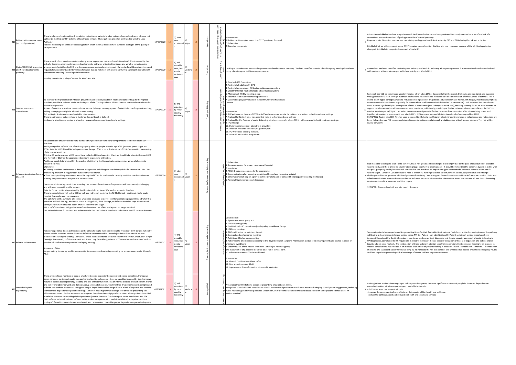It is there are patients with health needs that are not being reviewed in a timely manner because of the lack of a streamlined process for reviews of packages outside of normal pathways. Proposal under discussion to move to a more integrated approach with local authority, SFT and CCG sharing the risk and activities.

.<br>It is financial over Secure on our S117/complex cases allocation this financial year; however, because of the MHIS categorisation support achievement of the MHIS

dentified to develop the pathway and work is underway with system partners. Further sessions have been scheduled cisions expected to be made by end March 2021

ommission Weston Hospital which takes 20% of its patients from Somerset. Outbreaks are monitored and managed through outbreak notifications. Risk likelihood increased to 4 due to reduction of effectiveness of controls. This is due to a new highly contact in connections, his whenhold interested to your contact of the contaments of the policies and practice in care homes, PPE fatigue, incorrect assumptions and practice in care homes, PPE fatigue, homes (especially for homes where staff have received their COVID19 vaccination). Risk escalated due to outbreak cases increase significantly in a short period of time in care homes (and subsequent death rate), reducing capacity for IPC to meet demand to<br>support care homes and to address areas on non-compliance; additionally posibili

together with winter pressures until end March 2021. IPC team post successfully interviewed and offer accepted Dec 2020.<br>06/01/2022 Review with LEH. Risk has been increased to 20 due to the Omicron infectivity and transmis PHE recommendations. Frequent meetings/escalation call are taking place with all system partners. This risk will be

Risk escalated with regard to ability to achieve 75% at risk groups ambition target, this is largely due to the pace of distribution of available<br>vaccine stock, and there are some smaller at risk groups that have a lower u our peer groups regionally, however risk remains that this may have an impact on urgent care from the cohort of patients within the flu<br>vaccine target. Somerset CCG continues to hold bi-weekly flu meetings with key system challenges and issues, generate additional guidance for Primary Care to support General Practice to facilitate influenza vaccination clinics and<br>offer financial reimbursement for any additional influenza vaccine clinic cos

nd risk score to remain the same

Somerset patients have experienced longer waiting times for their first definitive treatment (and delays in the diagnostic phase of the pathway<br>will lead to a deterioration in longer waiting times. RTT Out Patient (non-adm impacted throughout the Covid-19 pandemic due to reduced out-patient, diagnostic and theatre capacity as a result of social distancing in<br>OP/diagnostics, compliance to IPC regulations in theatre, the loss of theatre capaci (covid and non-covid related). The combination of these factors in addition to extreme operational bed pressures (leading to an increase in<br>elective cancellations) has resulted in an increase the number of patients waiting and the cancer can be seen the patients presenting with a later stage of cancer and lead to poorer outcomes.

> iatives ongoing to reduce prescribing rates, there are significant numbers of people in Somerset dependent on h inadequate support available to them to:

| 413 | Patients with complex needs<br>(inc. S117 provision) | There is a financial and quality risk in relation to individual patients funded outside of normal pathways who are not<br>sighted by the CCG nor SFT in terms of healthcare reviews. These patients are often joint funded with the Local<br>Authority.<br>Patients with complex needs are accessing care in which the CCG does not have sufficient oversight of the quality of<br>care provision                                                                                                                                                                                                                                                                                                                                                                                                                                                                                                                                                                                                                                                                                                                                                                                                                                                                                                                                                                                                                                                                                                                                                                                                                                                                                                                                                                                                                                                                                                                                                                                                                                                                                                                                                               | 12/06/2020 | 12 | $(3)$ May<br>recur<br>(4)<br>occasionall Major                                       |    |        | Preventative:<br>'ಕ್ಕ ಜ<br>1) Patients with complex needs (inc. S117 provision) Proposal.<br>$\frac{16}{5}$ 호 몬 Collaborative:<br>2) Complex case panel.<br>홀호<br>ct on<br>public<br>ള് 5                                                                                                                                                                                                                                                                                                                                                                                                                                                                                                                                                                                                                                                                                                                                                                         | It is moderately likely th<br>streamlined process for<br>Proposal under discussi<br>It is likely that we will ov<br>changes this is likely to :                                                                                                                                                    |
|-----|------------------------------------------------------|-----------------------------------------------------------------------------------------------------------------------------------------------------------------------------------------------------------------------------------------------------------------------------------------------------------------------------------------------------------------------------------------------------------------------------------------------------------------------------------------------------------------------------------------------------------------------------------------------------------------------------------------------------------------------------------------------------------------------------------------------------------------------------------------------------------------------------------------------------------------------------------------------------------------------------------------------------------------------------------------------------------------------------------------------------------------------------------------------------------------------------------------------------------------------------------------------------------------------------------------------------------------------------------------------------------------------------------------------------------------------------------------------------------------------------------------------------------------------------------------------------------------------------------------------------------------------------------------------------------------------------------------------------------------------------------------------------------------------------------------------------------------------------------------------------------------------------------------------------------------------------------------------------------------------------------------------------------------------------------------------------------------------------------------------------------------------------------------------------------------------------------------------------------------|------------|----|--------------------------------------------------------------------------------------|----|--------|-------------------------------------------------------------------------------------------------------------------------------------------------------------------------------------------------------------------------------------------------------------------------------------------------------------------------------------------------------------------------------------------------------------------------------------------------------------------------------------------------------------------------------------------------------------------------------------------------------------------------------------------------------------------------------------------------------------------------------------------------------------------------------------------------------------------------------------------------------------------------------------------------------------------------------------------------------------------|----------------------------------------------------------------------------------------------------------------------------------------------------------------------------------------------------------------------------------------------------------------------------------------------------|
|     | 425 and Neurodevelopmental<br>pathway:               | There is a risk of increased complaints relating to the fragmented pathway for ADHD and ASC. This is caused by the<br>lack of a Somerset whole-system neurodevelopmental pathway with significant gaps and variable commissioning<br>Ofsted/CQC SEND Inspection arrangements for ASC and ADHD; pre-diagnosis, assessment and post-diagnosis. Currently, CAMHS receiving increased<br>requests for assessment and intervention for cases that do not meet MH criteria nor have a significant mental health<br>presentation requiring CAMHS specialist response.                                                                                                                                                                                                                                                                                                                                                                                                                                                                                                                                                                                                                                                                                                                                                                                                                                                                                                                                                                                                                                                                                                                                                                                                                                                                                                                                                                                                                                                                                                                                                                                                  | 12/06/2020 |    | $(4)$ Will<br>probably<br>recur, but<br>Modera<br>is not a<br>persistent<br>issue    | 12 |        | Looking to commission a new whole system neurodevelopmental pathway. CCG lead identified. A series of multi-agency meetings have been<br>$\frac{3}{5}$ a taking place in regard to this work programme.                                                                                                                                                                                                                                                                                                                                                                                                                                                                                                                                                                                                                                                                                                                                                           | A team lead has been id<br>with partners, with deci                                                                                                                                                                                                                                                |
|     | 428 COVID - nosocomial<br>transmission               | Inability to maintain quality of service for ADHD and ASC.<br>To exercise the highest level of infection prevention and control possible in health and care settings to the highest<br>standard possible in order to minimise the impact of the COVID pandemic. This will reduce harm and mortality to the<br>lowest level possible.<br>Spread of COVID as a result of heath and care service delivery - meaning spread of COVID infection for people working,<br>visiting or staying overnight in a health or care setting<br>Full testing in Acute services and partial in other services.<br>There is a difference between how a cluster and an outbreak is defined.<br>Inadequate infection prevention and control measures for community and acute settings.                                                                                                                                                                                                                                                                                                                                                                                                                                                                                                                                                                                                                                                                                                                                                                                                                                                                                                                                                                                                                                                                                                                                                                                                                                                                                                                                                                                               | 15/06/2020 | 16 | $(5)$ Will<br>undoubte<br>dly recur,<br>Major<br>possibly<br>frequently              |    | ≥      | L. Quarterly IPC Committee<br>2. Fortnightly huddles with DIPC<br>3. Fortnightly operational IPC leads meetings across system<br>4. Weekly COVID19 Health Protection Board across system.<br>5. Members of IPC SW Steering group.<br>6. Attendance to outbreak meetings and IMTs<br>7. Vaccination programme across the community and health care<br>sector.<br>="ㅎ<br>Preventative<br>6. PHE guidance on the use of PPE for staff and where appropriate for patients and visitors in health and care settings.<br>7. Protocol for Restriction of non-essential visitors to health and care settings.<br>8. Protocol for the Practice of social distancing principles, especially where PPE is not being used in health and care settings.<br>$\frac{a}{c}$ 9. IPC strategy<br>10. Outbreak management plans (from providers)<br>11. Infection Prevention Control (IPC) action plan<br>12. IPC Workforce capacity increase.<br>13. COVID19 vaccination programme. | Somerset, the CCG co-co<br>through PH and IPC tear<br>due to a new highly con<br>on transmission in care<br>cases increase significan<br>support care homes and<br>vaccine. Proximity of 14<br>together with winter pre<br>06/01/2022 Review with<br>being followed as per Pl<br>review bi-weekly. |
|     | Influenza Vaccination Season<br>$443 \big  2021/22$  | Iu vaccinations are provided to staff, trusts and GP practices or third party care providers. Somerset has 65 GP<br>Practices<br>NHS E/I target for 20/21 is 75% of at risk age group who are people over the age of 65 (previous year's target was<br>55%). Later in 2020 this will include people over the age of 50. In total this is a total of 120k Somerset increase on top<br>of the normal at risk list.<br>This is a GP quota as we as a CCG would have to find additional capacity. Vaccines should take place in October 2020<br>and November 2020 as the vaccine needs 28 days to generate antibodies.<br>Additional social distancing within the practice of delivering the flu vaccination may provide venue challenges to<br>deliver the clinics.<br>Workforce:<br>Capacity to deliver the increase in demand may provide a challenge to the delivery of the flu vaccination. The CCG<br>are holding interview in Aug for staff outside of GP workforce.<br>Third party provider procurement would be required if GPs do not have the capacity to deliver the flu vaccination.<br>Running the procurement may cause a resource issue.<br>Due to social distancing restrictions providing this volume of vaccinations for practices will be extremely challenging<br>and will need support from the system.<br>Data for flu vaccinations is provided by the IT system Inform. James Warren has access to this data.<br>There is a reputational risk to the CCG as well as a risk to not achieving the NHSE/I target - additional risk to acute<br>hospital flow and urgent care services.<br>The CCG have sent a survey to GPs to see what their plans are to deliver the flu vaccination programme and what this<br>provision will look like e.g. additional clinics in village halls, drive through, or different model to cope with demand.<br>Some practices have enquired about finances to deliver this target.<br>PPE - 20/8/20 updated PPE guidance confirmed sessional use of PPE and aprons no longer required.<br>GDs order their own flu vaccines and orders went in Eeb 2020 prior to nandemic and prior to NHSE/Lincrease in target | 26/08/2020 |    | $(3)$ May<br>recur<br>occasionall Major                                              |    |        | Collaborative:<br>1. Somerset system flu group (meet every 2 weeks)<br>Preventative<br>2. NHS E Guidance document for flu programme.<br>3. Communication plan (reducing reputational hazard and increasing uptake).<br>4. CCG implementation plan (plan to outline GP plans and or CCG additional capacity including workforce).<br>5. National Guidance for Social distancing.                                                                                                                                                                                                                                                                                                                                                                                                                                                                                                                                                                                   | Risk escalated with rega<br>vaccine stock, and there<br>our peer groups regiona<br>vaccine target. Somerse<br>4 challenges and issues, g<br>offer financial reimburs<br>requirements and the in<br>12/01/22 - Discussed an                                                                         |
|     | 449 Referral to Treatment                            | Patients' experience delays in treatment as the CCG is failing to meet the Referral to Treatment (RTT) targets (whereby<br>patient should expect to receive their first definitive treatment within 18 weeks) and that there should be zero<br>incidence of 52 and (and latterly) 104 weeks. These access standards are outlined within the NHS Constitution, Single<br>Oversight Framework, 21/22 operational and 5 Year Long Term Plan guidance. RTT access issues due to the Covid-19<br>pandemic have further compounded the legacy backlog.<br><b>Statement of Risk</b><br>onger waiting times may lead to poorer patient outcomes, and patients presenting via an emergency route (through<br>A&E)                                                                                                                                                                                                                                                                                                                                                                                                                                                                                                                                                                                                                                                                                                                                                                                                                                                                                                                                                                                                                                                                                                                                                                                                                                                                                                                                                                                                                                                        | 29/09/2017 | 16 | $(4)$ Will<br>probably<br>recur, but (4)<br>Major<br>is not a<br>persistent<br>issue |    |        | Collaborative:<br>1. System Assurance group ICS.<br>2. CCG Governing Body.<br>3. CCG F&P and PSQ committee(s) and Quality Surveillance Group<br>4. ICS Execs meeting.<br>5. A&E and Elective care delivery boards<br>6. Contract and performance meetings<br>7. Activity and Performance meeting<br>8. Adherence to prioritisation according to the Royal College of Surgeons Prioritisation Guidance to ensure patients are treated in order of<br>urgency to avoid harm<br>9. Weekly review of the Patient Treatment List (PTL) to review urgency<br>and escalation of any patients identified as at risk of clinical harm<br>10. Adherence to new RTT MDS dashboard<br>Preventative:<br>11. Phase 3 Covid Re-Start Plans 20/21<br>12. Operational planning 21/22<br>13. Improvement / transformation plans and trajectories                                                                                                                                    | Somerset patients have<br>will lead to a deteriorati<br>impacted throughout th<br>OP/diagnostics, complia<br>(covid and non-covid rel<br>elective cancellations) h<br>in routine and suspecte<br>and lead to patients pre                                                                          |
| 476 | Prescribed opioid<br>dependency                      | There are significant numbers of people who have become dependent on prescribed opioid painkillers. Increasing<br>doses no longer achieve adequate pain control and additionally present their own problems caused by the depressive<br>nature of opioids causing lethargy, inability and loss of motor function, loss of interest in social interaction with friends<br>and family and ability to work and damaging drug seeking behaviours. Treatment for drug dependence is complex and<br>difficult. Whilst there are services to support people dependent on illicit drugs there is a lack of expertise and capacity<br>to treat those dependent on prescribed drugs. Somerset has a higher than average rate of Opioid prescribing rate<br><shaun data="" insert="">. Further more over recent years there have been high profile incidents where patients have died<br/>in relation to events surrounding their dependence (see the Somerset CCG Toft report recommendations and SEA<br/>Datix reference <jonathan insert="" reference=""> Dependence on prescription medicines is linked to deprivation. Poor<br/>quality of life and increased demands on health and care services created by people dependent on prescribed opioids.</jonathan></shaun>                                                                                                                                                                                                                                                                                                                                                                                                                                                                                                                                                                                                                                                                                                                                                                                                                                                                                               | 07/04/2021 | 15 | $(5)$ Will<br>undoubte (3)<br>Modera 15<br>dly recur,<br>possibly<br>frequently      |    | egy Fl | Prescribing Incentive Scheme to reduce prescribing of opioid pain killers.<br>Recognised clinical risk with considerable clinical evidence and publication which does assist with shaping clinical prescribing practice, including<br>Public Health England Review published September 2019 "Dependence and withdrawal associated with some prescribed medicines: An<br>evidence review"                                                                                                                                                                                                                                                                                                                                                                                                                                                                                                                                                                          | Although there are initia<br>prescribed opioids with<br>find better ways to ma<br>improve the conseque<br>reduce the continuing                                                                                                                                                                    |

- find better ways to manage their pain - improve the consequent adverse effects on their quality of life, health and wellbeing of cost and demand on health and social care services